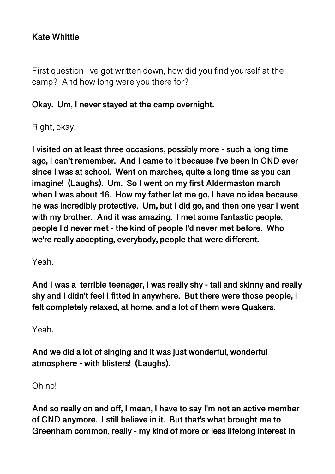## **Kate Whittle**

First question I've got written down, how did you find yourself at the camp? And how long were you there for?

#### **Okay. Um, I never stayed at the camp overnight.**

Right, okay.

**I visited on at least three occasions, possibly more - such a long time ago, I can't remember. And I came to it because I've been in CND ever since I was at school. Went on marches, quite a long time as you can imagine! (Laughs). Um. So I went on my first Aldermaston march when I was about 16. How my father let me go, I have no idea because he was incredibly protective. Um, but I did go, and then one year I went with my brother. And it was amazing. I met some fantastic people, people I'd never met - the kind of people I'd never met before. Who we're really accepting, everybody, people that were different.** 

Yeah.

**And I was a terrible teenager, I was really shy - tall and skinny and really shy and I didn't feel I fitted in anywhere. But there were those people, I felt completely relaxed, at home, and a lot of them were Quakers.** 

Yeah.

**And we did a lot of singing and it was just wonderful, wonderful atmosphere - with blisters! (Laughs).** 

Oh no!

**And so really on and off, I mean, I have to say I'm not an active member of CND anymore. I still believe in it. But that's what brought me to Greenham common, really - my kind of more or less lifelong interest in**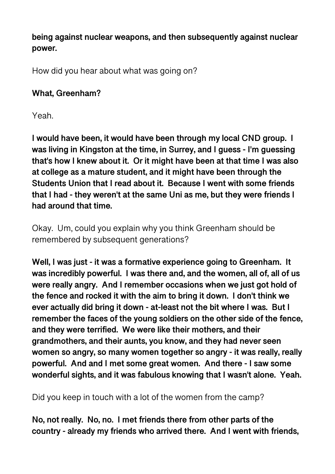**being against nuclear weapons, and then subsequently against nuclear power.** 

How did you hear about what was going on?

## **What, Greenham?**

Yeah.

**I would have been, it would have been through my local CND group. I was living in Kingston at the time, in Surrey, and I guess - I'm guessing that's how I knew about it. Or it might have been at that time I was also at college as a mature student, and it might have been through the Students Union that I read about it. Because I went with some friends that I had - they weren't at the same Uni as me, but they were friends I had around that time.** 

Okay. Um, could you explain why you think Greenham should be remembered by subsequent generations?

**Well, I was just - it was a formative experience going to Greenham. It was incredibly powerful. I was there and, and the women, all of, all of us were really angry. And I remember occasions when we just got hold of the fence and rocked it with the aim to bring it down. I don't think we ever actually did bring it down - at-least not the bit where I was. But I remember the faces of the young soldiers on the other side of the fence, and they were terrified. We were like their mothers, and their grandmothers, and their aunts, you know, and they had never seen women so angry, so many women together so angry - it was really, really powerful. And and I met some great women. And there - I saw some wonderful sights, and it was fabulous knowing that I wasn't alone. Yeah.** 

Did you keep in touch with a lot of the women from the camp?

**No, not really. No, no. I met friends there from other parts of the country - already my friends who arrived there. And I went with friends,**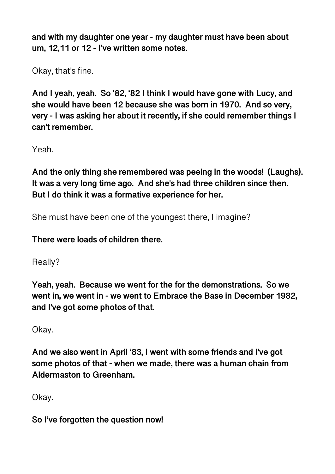**and with my daughter one year - my daughter must have been about um, 12,11 or 12 - I've written some notes.** 

Okay, that's fine.

**And I yeah, yeah. So '82, '82 I think I would have gone with Lucy, and she would have been 12 because she was born in 1970. And so very, very - I was asking her about it recently, if she could remember things I can't remember.** 

Yeah.

**And the only thing she remembered was peeing in the woods! (Laughs). It was a very long time ago. And she's had three children since then. But I do think it was a formative experience for her.** 

She must have been one of the youngest there, I imagine?

**There were loads of children there.** 

Really?

**Yeah, yeah. Because we went for the for the demonstrations. So we went in, we went in - we went to Embrace the Base in December 1982, and I've got some photos of that.** 

Okay.

**And we also went in April '83, I went with some friends and I've got some photos of that - when we made, there was a human chain from Aldermaston to Greenham.** 

Okay.

**So I've forgotten the question now!**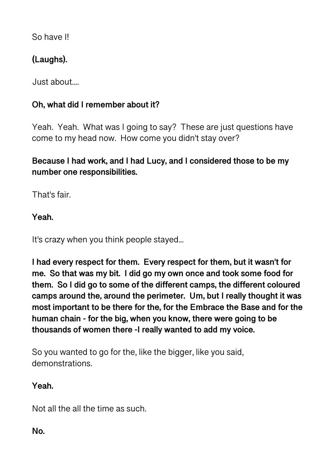So have I!

# **(Laughs).**

Just about....

## **Oh, what did I remember about it?**

Yeah. Yeah. What was I going to say? These are just questions have come to my head now. How come you didn't stay over?

# **Because I had work, and I had Lucy, and I considered those to be my number one responsibilities.**

That's fair.

**Yeah.** 

It's crazy when you think people stayed...

**I had every respect for them. Every respect for them, but it wasn't for me. So that was my bit. I did go my own once and took some food for them. So I did go to some of the different camps, the different coloured camps around the, around the perimeter. Um, but I really thought it was most important to be there for the, for the Embrace the Base and for the human chain - for the big, when you know, there were going to be thousands of women there -I really wanted to add my voice.** 

So you wanted to go for the, like the bigger, like you said, demonstrations.

**Yeah.** 

Not all the all the time as such.

**No.**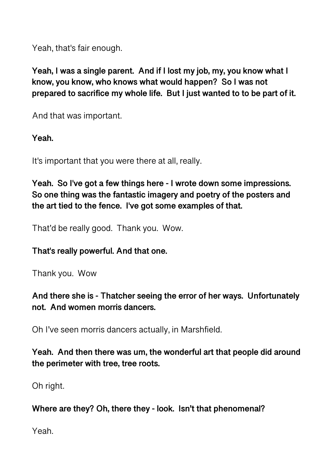Yeah, that's fair enough.

**Yeah, I was a single parent. And if I lost my job, my, you know what I know, you know, who knows what would happen? So I was not prepared to sacrifice my whole life. But I just wanted to to be part of it.** 

And that was important.

**Yeah.** 

It's important that you were there at all, really.

**Yeah. So I've got a few things here - I wrote down some impressions. So one thing was the fantastic imagery and poetry of the posters and the art tied to the fence. I've got some examples of that.** 

That'd be really good. Thank you. Wow.

## **That's really powerful. And that one.**

Thank you. Wow

**And there she is - Thatcher seeing the error of her ways. Unfortunately not. And women morris dancers.** 

Oh I've seen morris dancers actually, in Marshfield.

**Yeah. And then there was um, the wonderful art that people did around the perimeter with tree, tree roots.** 

Oh right.

**Where are they? Oh, there they - look. Isn't that phenomenal?** 

Yeah.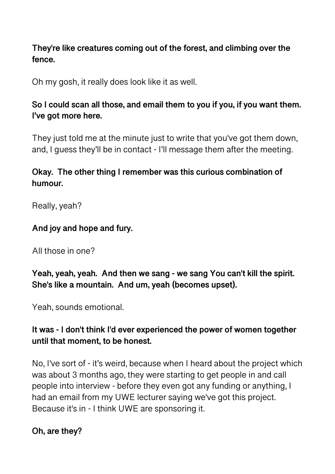## **They're like creatures coming out of the forest, and climbing over the fence.**

Oh my gosh, it really does look like it as well.

## **So I could scan all those, and email them to you if you, if you want them. I've got more here.**

They just told me at the minute just to write that you've got them down, and, I guess they'll be in contact - I'll message them after the meeting.

### **Okay. The other thing I remember was this curious combination of humour.**

Really, yeah?

## **And joy and hope and fury.**

All those in one?

**Yeah, yeah, yeah. And then we sang - we sang You can't kill the spirit. She's like a mountain. And um, yeah (becomes upset).** 

Yeah, sounds emotional.

## **It was - I don't think I'd ever experienced the power of women together until that moment, to be honest.**

No, I've sort of - it's weird, because when I heard about the project which was about 3 months ago, they were starting to get people in and call people into interview - before they even got any funding or anything, I had an email from my UWE lecturer saying we've got this project. Because it's in - I think UWE are sponsoring it.

#### **Oh, are they?**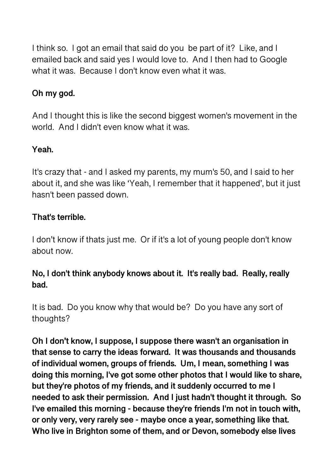I think so. I got an email that said do you be part of it? Like, and I emailed back and said yes I would love to. And I then had to Google what it was. Because I don't know even what it was.

# **Oh my god.**

And I thought this is like the second biggest women's movement in the world. And I didn't even know what it was.

## **Yeah.**

It's crazy that - and I asked my parents, my mum's 50, and I said to her about it, and she was like 'Yeah, I remember that it happened', but it just hasn't been passed down.

## **That's terrible.**

I don't know if thats just me. Or if it's a lot of young people don't know about now.

## **No, I don't think anybody knows about it. It's really bad. Really, really bad.**

It is bad. Do you know why that would be? Do you have any sort of thoughts?

**Oh I don't know, I suppose, I suppose there wasn't an organisation in that sense to carry the ideas forward. It was thousands and thousands of individual women, groups of friends. Um, I mean, something I was doing this morning, I've got some other photos that I would like to share, but they're photos of my friends, and it suddenly occurred to me I needed to ask their permission. And I just hadn't thought it through. So I've emailed this morning - because they're friends I'm not in touch with, or only very, very rarely see - maybe once a year, something like that. Who live in Brighton some of them, and or Devon, somebody else lives**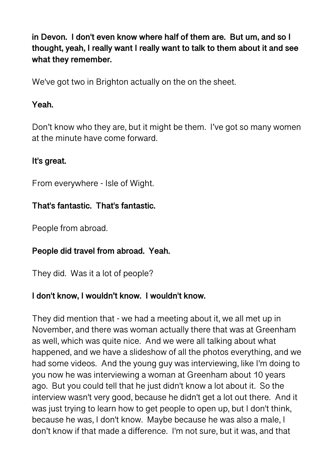**in Devon. I don't even know where half of them are. But um, and so I thought, yeah, I really want I really want to talk to them about it and see what they remember.** 

We've got two in Brighton actually on the on the sheet.

### **Yeah.**

Don't know who they are, but it might be them. I've got so many women at the minute have come forward.

## **It's great.**

From everywhere - Isle of Wight.

## **That's fantastic. That's fantastic.**

People from abroad.

## **People did travel from abroad. Yeah.**

They did. Was it a lot of people?

## **I don't know, I wouldn't know. I wouldn't know.**

They did mention that - we had a meeting about it, we all met up in November, and there was woman actually there that was at Greenham as well, which was quite nice. And we were all talking about what happened, and we have a slideshow of all the photos everything, and we had some videos. And the young guy was interviewing, like I'm doing to you now he was interviewing a woman at Greenham about 10 years ago. But you could tell that he just didn't know a lot about it. So the interview wasn't very good, because he didn't get a lot out there. And it was just trying to learn how to get people to open up, but I don't think, because he was, I don't know. Maybe because he was also a male, I don't know if that made a difference. I'm not sure, but it was, and that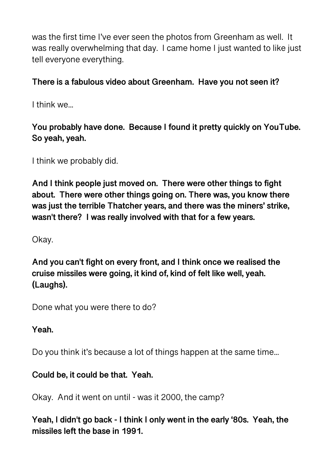was the first time I've ever seen the photos from Greenham as well. It was really overwhelming that day. I came home I just wanted to like just tell everyone everything.

## **There is a fabulous video about Greenham. Have you not seen it?**

I think we...

# **You probably have done. Because I found it pretty quickly on YouTube. So yeah, yeah.**

I think we probably did.

**And I think people just moved on. There were other things to fight about. There were other things going on. There was, you know there was just the terrible Thatcher years, and there was the miners' strike, wasn't there? I was really involved with that for a few years.** 

Okay.

**And you can't fight on every front, and I think once we realised the cruise missiles were going, it kind of, kind of felt like well, yeah. (Laughs).** 

Done what you were there to do?

## **Yeah.**

Do you think it's because a lot of things happen at the same time...

## **Could be, it could be that. Yeah.**

Okay. And it went on until - was it 2000, the camp?

**Yeah, I didn't go back - I think I only went in the early '80s. Yeah, the missiles left the base in 1991.**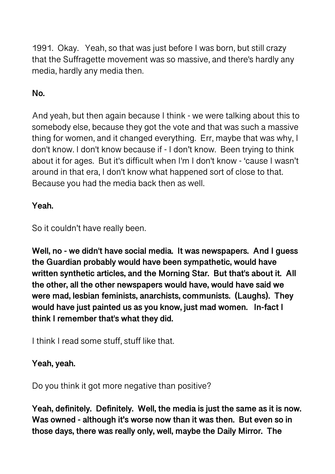1991. Okay. Yeah, so that was just before I was born, but still crazy that the Suffragette movement was so massive, and there's hardly any media, hardly any media then.

# **No.**

And yeah, but then again because I think - we were talking about this to somebody else, because they got the vote and that was such a massive thing for women, and it changed everything. Err, maybe that was why, I don't know. I don't know because if - I don't know. Been trying to think about it for ages. But it's difficult when I'm I don't know - 'cause I wasn't around in that era, I don't know what happened sort of close to that. Because you had the media back then as well.

## **Yeah.**

So it couldn't have really been.

**Well, no - we didn't have social media. It was newspapers. And I guess the Guardian probably would have been sympathetic, would have written synthetic articles, and the Morning Star. But that's about it. All the other, all the other newspapers would have, would have said we were mad, lesbian feminists, anarchists, communists. (Laughs). They would have just painted us as you know, just mad women. In-fact I think I remember that's what they did.** 

I think I read some stuff, stuff like that.

## **Yeah, yeah.**

Do you think it got more negative than positive?

**Yeah, definitely. Definitely. Well, the media is just the same as it is now. Was owned - although it's worse now than it was then. But even so in those days, there was really only, well, maybe the Daily Mirror. The**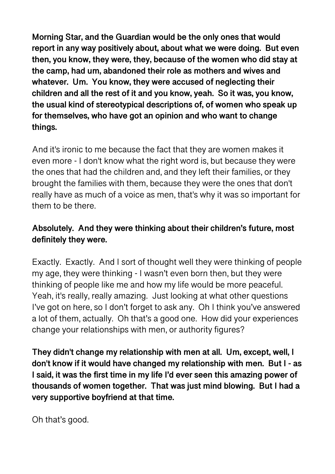**Morning Star, and the Guardian would be the only ones that would report in any way positively about, about what we were doing. But even then, you know, they were, they, because of the women who did stay at the camp, had um, abandoned their role as mothers and wives and whatever. Um. You know, they were accused of neglecting their children and all the rest of it and you know, yeah. So it was, you know, the usual kind of stereotypical descriptions of, of women who speak up for themselves, who have got an opinion and who want to change things.** 

And it's ironic to me because the fact that they are women makes it even more - I don't know what the right word is, but because they were the ones that had the children and, and they left their families, or they brought the families with them, because they were the ones that don't really have as much of a voice as men, that's why it was so important for them to be there.

# **Absolutely. And they were thinking about their children's future, most definitely they were.**

Exactly. Exactly. And I sort of thought well they were thinking of people my age, they were thinking - I wasn't even born then, but they were thinking of people like me and how my life would be more peaceful. Yeah, it's really, really amazing. Just looking at what other questions I've got on here, so I don't forget to ask any. Oh I think you've answered a lot of them, actually. Oh that's a good one. How did your experiences change your relationships with men, or authority figures?

**They didn't change my relationship with men at all. Um, except, well, I don't know if it would have changed my relationship with men. But I - as I said, it was the first time in my life I'd ever seen this amazing power of thousands of women together. That was just mind blowing. But I had a very supportive boyfriend at that time.** 

Oh that's good.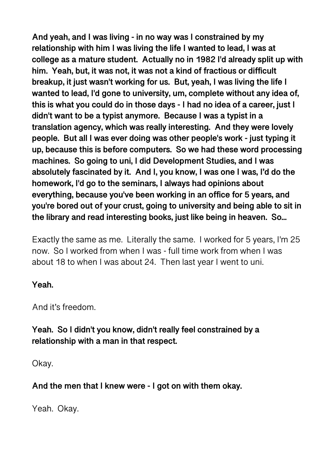**And yeah, and I was living - in no way was I constrained by my relationship with him I was living the life I wanted to lead, I was at college as a mature student. Actually no in 1982 I'd already split up with him. Yeah, but, it was not, it was not a kind of fractious or difficult breakup, it just wasn't working for us. But, yeah, I was living the life I wanted to lead, I'd gone to university, um, complete without any idea of, this is what you could do in those days - I had no idea of a career, just I didn't want to be a typist anymore. Because I was a typist in a translation agency, which was really interesting. And they were lovely people. But all I was ever doing was other people's work - just typing it up, because this is before computers. So we had these word processing machines. So going to uni, I did Development Studies, and I was absolutely fascinated by it. And I, you know, I was one I was, I'd do the homework, I'd go to the seminars, I always had opinions about everything, because you've been working in an office for 5 years, and you're bored out of your crust, going to university and being able to sit in the library and read interesting books, just like being in heaven. So...** 

Exactly the same as me. Literally the same. I worked for 5 years, I'm 25 now. So I worked from when I was - full time work from when I was about 18 to when I was about 24. Then last year I went to uni.

#### **Yeah.**

And it's freedom.

**Yeah. So I didn't you know, didn't really feel constrained by a relationship with a man in that respect.** 

Okay.

**And the men that I knew were - I got on with them okay.** 

Yeah. Okay.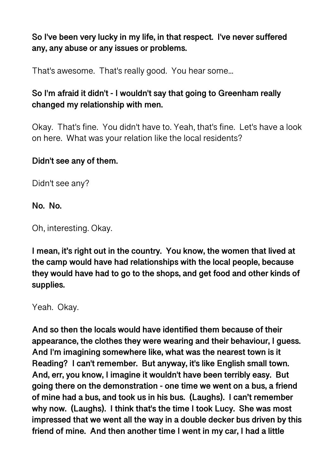## **So I've been very lucky in my life, in that respect. I've never suffered any, any abuse or any issues or problems.**

That's awesome. That's really good. You hear some...

# **So I'm afraid it didn't - I wouldn't say that going to Greenham really changed my relationship with men.**

Okay. That's fine. You didn't have to. Yeah, that's fine. Let's have a look on here. What was your relation like the local residents?

#### **Didn't see any of them.**

Didn't see any?

#### **No. No.**

Oh, interesting. Okay.

**I mean, it's right out in the country. You know, the women that lived at the camp would have had relationships with the local people, because they would have had to go to the shops, and get food and other kinds of supplies.** 

Yeah. Okay.

**And so then the locals would have identified them because of their appearance, the clothes they were wearing and their behaviour, I guess. And I'm imagining somewhere like, what was the nearest town is it Reading? I can't remember. But anyway, it's like English small town. And, err, you know, I imagine it wouldn't have been terribly easy. But going there on the demonstration - one time we went on a bus, a friend of mine had a bus, and took us in his bus. (Laughs). I can't remember why now. (Laughs). I think that's the time I took Lucy. She was most impressed that we went all the way in a double decker bus driven by this friend of mine. And then another time I went in my car, I had a little**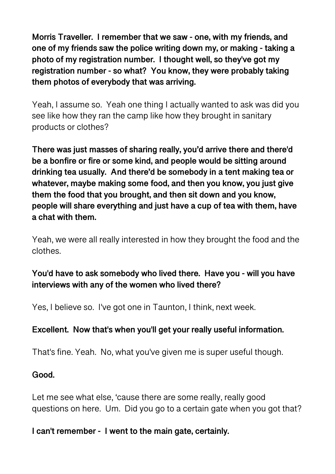**Morris Traveller. I remember that we saw - one, with my friends, and one of my friends saw the police writing down my, or making - taking a photo of my registration number. I thought well, so they've got my registration number - so what? You know, they were probably taking them photos of everybody that was arriving.** 

Yeah, I assume so. Yeah one thing I actually wanted to ask was did you see like how they ran the camp like how they brought in sanitary products or clothes?

**There was just masses of sharing really, you'd arrive there and there'd be a bonfire or fire or some kind, and people would be sitting around drinking tea usually. And there'd be somebody in a tent making tea or whatever, maybe making some food, and then you know, you just give them the food that you brought, and then sit down and you know, people will share everything and just have a cup of tea with them, have a chat with them.** 

Yeah, we were all really interested in how they brought the food and the clothes.

## **You'd have to ask somebody who lived there. Have you - will you have interviews with any of the women who lived there?**

Yes, I believe so. I've got one in Taunton, I think, next week.

## **Excellent. Now that's when you'll get your really useful information.**

That's fine. Yeah. No, what you've given me is super useful though.

#### **Good.**

Let me see what else, 'cause there are some really, really good questions on here. Um. Did you go to a certain gate when you got that?

#### **I can't remember - I went to the main gate, certainly.**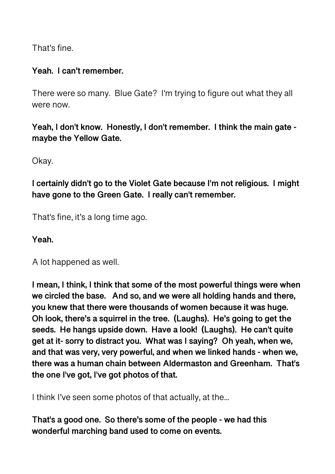That's fine.

#### **Yeah. I can't remember.**

There were so many. Blue Gate? I'm trying to figure out what they all were now.

**Yeah, I don't know. Honestly, I don't remember. I think the main gate maybe the Yellow Gate.** 

Okay.

**I certainly didn't go to the Violet Gate because I'm not religious. I might have gone to the Green Gate. I really can't remember.** 

That's fine, it's a long time ago.

**Yeah.** 

A lot happened as well.

**I mean, I think, I think that some of the most powerful things were when we circled the base. And so, and we were all holding hands and there, you knew that there were thousands of women because it was huge. Oh look, there's a squirrel in the tree. (Laughs). He's going to get the seeds. He hangs upside down. Have a look! (Laughs). He can't quite get at it- sorry to distract you. What was I saying? Oh yeah, when we, and that was very, very powerful, and when we linked hands - when we, there was a human chain between Aldermaston and Greenham. That's the one I've got, I've got photos of that.** 

I think I've seen some photos of that actually, at the...

**That's a good one. So there's some of the people - we had this wonderful marching band used to come on events.**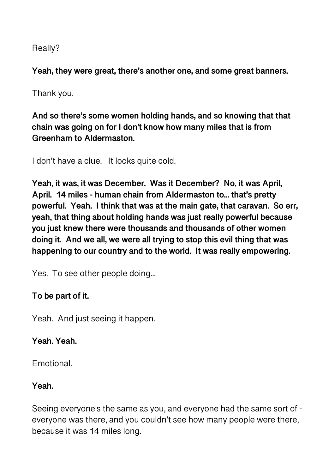Really?

**Yeah, they were great, there's another one, and some great banners.** 

Thank you.

**And so there's some women holding hands, and so knowing that that chain was going on for I don't know how many miles that is from Greenham to Aldermaston.** 

I don't have a clue. It looks quite cold.

**Yeah, it was, it was December. Was it December? No, it was April, April. 14 miles - human chain from Aldermaston to... that's pretty powerful. Yeah. I think that was at the main gate, that caravan. So err, yeah, that thing about holding hands was just really powerful because you just knew there were thousands and thousands of other women doing it. And we all, we were all trying to stop this evil thing that was happening to our country and to the world. It was really empowering.** 

Yes. To see other people doing...

# **To be part of it.**

Yeah. And just seeing it happen.

# **Yeah. Yeah.**

Emotional.

# **Yeah.**

Seeing everyone's the same as you, and everyone had the same sort of everyone was there, and you couldn't see how many people were there, because it was 14 miles long.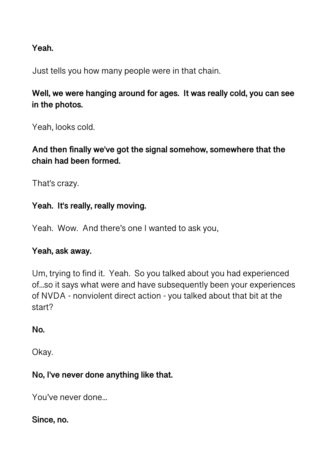### **Yeah.**

Just tells you how many people were in that chain.

**Well, we were hanging around for ages. It was really cold, you can see in the photos.** 

Yeah, looks cold.

**And then finally we've got the signal somehow, somewhere that the chain had been formed.** 

That's crazy.

## **Yeah. It's really, really moving.**

Yeah. Wow. And there's one I wanted to ask you,

## **Yeah, ask away.**

Um, trying to find it. Yeah. So you talked about you had experienced of...so it says what were and have subsequently been your experiences of NVDA - nonviolent direct action - you talked about that bit at the start?

**No.** 

Okay.

## **No, I've never done anything like that.**

You've never done...

#### **Since, no.**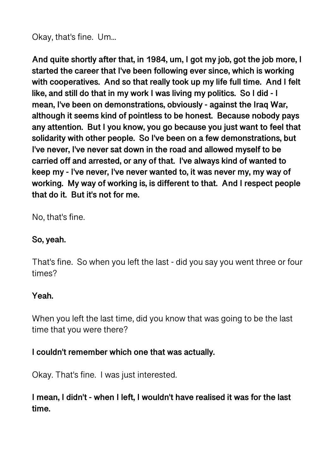Okay, that's fine. Um...

**And quite shortly after that, in 1984, um, I got my job, got the job more, I started the career that I've been following ever since, which is working with cooperatives. And so that really took up my life full time. And I felt like, and still do that in my work I was living my politics. So I did - I mean, I've been on demonstrations, obviously - against the Iraq War, although it seems kind of pointless to be honest. Because nobody pays any attention. But I you know, you go because you just want to feel that solidarity with other people. So I've been on a few demonstrations, but I've never, I've never sat down in the road and allowed myself to be carried off and arrested, or any of that. I've always kind of wanted to keep my - I've never, I've never wanted to, it was never my, my way of working. My way of working is, is different to that. And I respect people that do it. But it's not for me.** 

No, that's fine.

#### **So, yeah.**

That's fine. So when you left the last - did you say you went three or four times?

#### **Yeah.**

When you left the last time, did you know that was going to be the last time that you were there?

#### **I couldn't remember which one that was actually.**

Okay. That's fine. I was just interested.

## **I mean, I didn't - when I left, I wouldn't have realised it was for the last time.**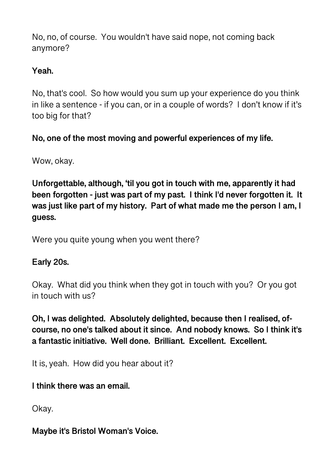No, no, of course. You wouldn't have said nope, not coming back anymore?

## **Yeah.**

No, that's cool. So how would you sum up your experience do you think in like a sentence - if you can, or in a couple of words? I don't know if it's too big for that?

## **No, one of the most moving and powerful experiences of my life.**

Wow, okay.

**Unforgettable, although, 'til you got in touch with me, apparently it had been forgotten - just was part of my past. I think I'd never forgotten it. It was just like part of my history. Part of what made me the person I am, I guess.** 

Were you quite young when you went there?

## **Early 20s.**

Okay. What did you think when they got in touch with you? Or you got in touch with us?

**Oh, I was delighted. Absolutely delighted, because then I realised, ofcourse, no one's talked about it since. And nobody knows. So I think it's a fantastic initiative. Well done. Brilliant. Excellent. Excellent.** 

It is, yeah. How did you hear about it?

**I think there was an email.** 

Okay.

**Maybe it's Bristol Woman's Voice.**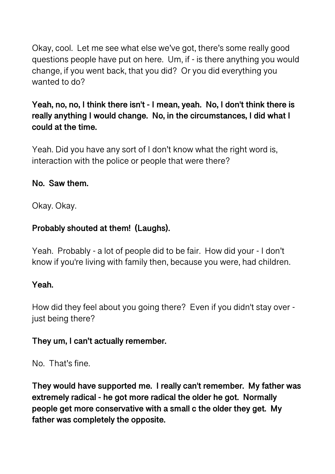Okay, cool. Let me see what else we've got, there's some really good questions people have put on here. Um, if - is there anything you would change, if you went back, that you did? Or you did everything you wanted to do?

## **Yeah, no, no, I think there isn't - I mean, yeah. No, I don't think there is really anything I would change. No, in the circumstances, I did what I could at the time.**

Yeah. Did you have any sort of I don't know what the right word is, interaction with the police or people that were there?

## **No. Saw them.**

Okay. Okay.

## **Probably shouted at them! (Laughs).**

Yeah. Probably - a lot of people did to be fair. How did your - I don't know if you're living with family then, because you were, had children.

#### **Yeah.**

How did they feel about you going there? Even if you didn't stay over just being there?

#### **They um, I can't actually remember.**

No. That's fine.

**They would have supported me. I really can't remember. My father was extremely radical - he got more radical the older he got. Normally people get more conservative with a small c the older they get. My father was completely the opposite.**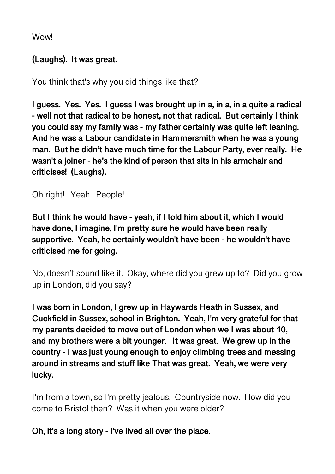**Wowl** 

## **(Laughs). It was great.**

You think that's why you did things like that?

**I guess. Yes. Yes. I guess I was brought up in a, in a, in a quite a radical - well not that radical to be honest, not that radical. But certainly I think you could say my family was - my father certainly was quite left leaning. And he was a Labour candidate in Hammersmith when he was a young man. But he didn't have much time for the Labour Party, ever really. He wasn't a joiner - he's the kind of person that sits in his armchair and criticises! (Laughs).** 

Oh right! Yeah. People!

**But I think he would have - yeah, if I told him about it, which I would have done, I imagine, I'm pretty sure he would have been really supportive. Yeah, he certainly wouldn't have been - he wouldn't have criticised me for going.** 

No, doesn't sound like it. Okay, where did you grew up to? Did you grow up in London, did you say?

**I was born in London, I grew up in Haywards Heath in Sussex, and Cuckfield in Sussex, school in Brighton. Yeah, I'm very grateful for that my parents decided to move out of London when we I was about 10, and my brothers were a bit younger. It was great. We grew up in the country - I was just young enough to enjoy climbing trees and messing around in streams and stuff like That was great. Yeah, we were very lucky.** 

I'm from a town, so I'm pretty jealous. Countryside now. How did you come to Bristol then? Was it when you were older?

**Oh, it's a long story - I've lived all over the place.**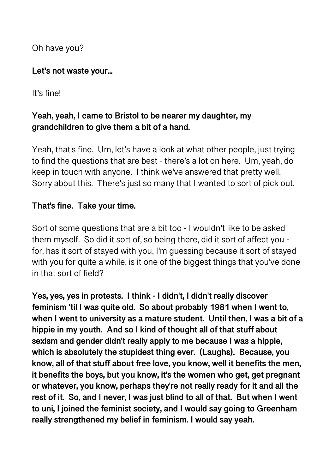Oh have you?

#### **Let's not waste your...**

It's fine!

# **Yeah, yeah, I came to Bristol to be nearer my daughter, my grandchildren to give them a bit of a hand.**

Yeah, that's fine. Um, let's have a look at what other people, just trying to find the questions that are best - there's a lot on here. Um, yeah, do keep in touch with anyone. I think we've answered that pretty well. Sorry about this. There's just so many that I wanted to sort of pick out.

## **That's fine. Take your time.**

Sort of some questions that are a bit too - I wouldn't like to be asked them myself. So did it sort of, so being there, did it sort of affect you for, has it sort of stayed with you, I'm guessing because it sort of stayed with you for quite a while, is it one of the biggest things that you've done in that sort of field?

**Yes, yes, yes in protests. I think - I didn't, I didn't really discover feminism 'til I was quite old. So about probably 1981 when I went to, when I went to university as a mature student. Until then, I was a bit of a hippie in my youth. And so I kind of thought all of that stuff about sexism and gender didn't really apply to me because I was a hippie, which is absolutely the stupidest thing ever. (Laughs). Because, you know, all of that stuff about free love, you know, well it benefits the men, it benefits the boys, but you know, it's the women who get, get pregnant or whatever, you know, perhaps they're not really ready for it and all the rest of it. So, and I never, I was just blind to all of that. But when I went to uni, I joined the feminist society, and I would say going to Greenham really strengthened my belief in feminism. I would say yeah.**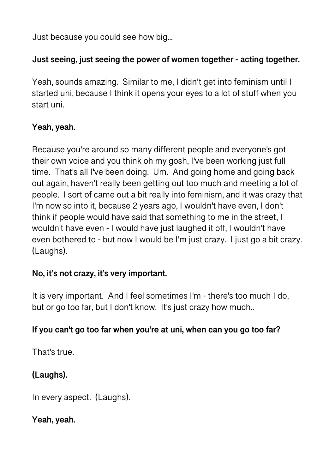Just because you could see how big...

## **Just seeing, just seeing the power of women together - acting together.**

Yeah, sounds amazing. Similar to me, I didn't get into feminism until I started uni, because I think it opens your eyes to a lot of stuff when you start uni.

## **Yeah, yeah.**

Because you're around so many different people and everyone's got their own voice and you think oh my gosh, I've been working just full time. That's all I've been doing. Um. And going home and going back out again, haven't really been getting out too much and meeting a lot of people. I sort of came out a bit really into feminism, and it was crazy that I'm now so into it, because 2 years ago, I wouldn't have even, I don't think if people would have said that something to me in the street, I wouldn't have even - I would have just laughed it off, I wouldn't have even bothered to - but now I would be I'm just crazy. I just go a bit crazy. (Laughs).

## **No, it's not crazy, it's very important.**

It is very important. And I feel sometimes I'm - there's too much I do, but or go too far, but I don't know. It's just crazy how much..

## **If you can't go too far when you're at uni, when can you go too far?**

That's true.

# **(Laughs).**

In every aspect. (Laughs).

**Yeah, yeah.**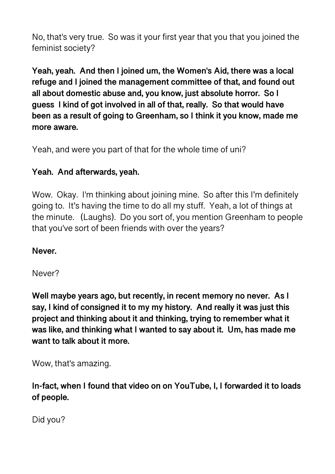No, that's very true. So was it your first year that you that you joined the feminist society?

**Yeah, yeah. And then I joined um, the Women's Aid, there was a local refuge and I joined the management committee of that, and found out all about domestic abuse and, you know, just absolute horror. So I guess I kind of got involved in all of that, really. So that would have been as a result of going to Greenham, so I think it you know, made me more aware.** 

Yeah, and were you part of that for the whole time of uni?

## **Yeah. And afterwards, yeah.**

Wow. Okay. I'm thinking about joining mine. So after this I'm definitely going to. It's having the time to do all my stuff. Yeah, a lot of things at the minute. (Laughs). Do you sort of, you mention Greenham to people that you've sort of been friends with over the years?

**Never.** 

Never?

**Well maybe years ago, but recently, in recent memory no never. As I say, I kind of consigned it to my my history. And really it was just this project and thinking about it and thinking, trying to remember what it was like, and thinking what I wanted to say about it. Um, has made me want to talk about it more.** 

Wow, that's amazing.

**In-fact, when I found that video on on YouTube, I, I forwarded it to loads of people.** 

Did you?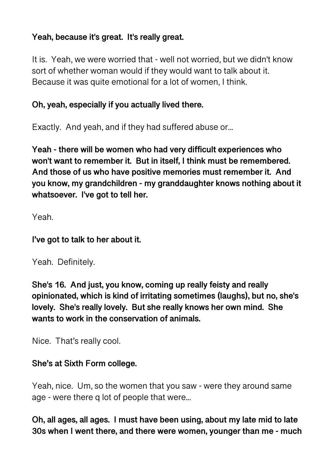## **Yeah, because it's great. It's really great.**

It is. Yeah, we were worried that - well not worried, but we didn't know sort of whether woman would if they would want to talk about it. Because it was quite emotional for a lot of women, I think.

## **Oh, yeah, especially if you actually lived there.**

Exactly. And yeah, and if they had suffered abuse or...

**Yeah - there will be women who had very difficult experiences who won't want to remember it. But in itself, I think must be remembered. And those of us who have positive memories must remember it. And you know, my grandchildren - my granddaughter knows nothing about it whatsoever. I've got to tell her.** 

Yeah.

## **I've got to talk to her about it.**

Yeah. Definitely.

**She's 16. And just, you know, coming up really feisty and really opinionated, which is kind of irritating sometimes (laughs), but no, she's lovely. She's really lovely. But she really knows her own mind. She wants to work in the conservation of animals.** 

Nice. That's really cool.

## **She's at Sixth Form college.**

Yeah, nice. Um, so the women that you saw - were they around same age - were there q lot of people that were...

**Oh, all ages, all ages. I must have been using, about my late mid to late 30s when I went there, and there were women, younger than me - much**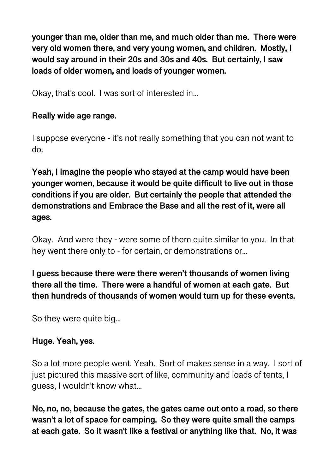**younger than me, older than me, and much older than me. There were very old women there, and very young women, and children. Mostly, I would say around in their 20s and 30s and 40s. But certainly, I saw loads of older women, and loads of younger women.** 

Okay, that's cool. I was sort of interested in...

#### **Really wide age range.**

I suppose everyone - it's not really something that you can not want to do.

**Yeah, I imagine the people who stayed at the camp would have been younger women, because it would be quite difficult to live out in those conditions if you are older. But certainly the people that attended the demonstrations and Embrace the Base and all the rest of it, were all ages.** 

Okay. And were they - were some of them quite similar to you. In that hey went there only to - for certain, or demonstrations or...

**I guess because there were there weren't thousands of women living there all the time. There were a handful of women at each gate. But then hundreds of thousands of women would turn up for these events.** 

So they were quite big...

#### **Huge. Yeah, yes.**

So a lot more people went. Yeah. Sort of makes sense in a way. I sort of just pictured this massive sort of like, community and loads of tents, I guess, I wouldn't know what...

**No, no, no, because the gates, the gates came out onto a road, so there wasn't a lot of space for camping. So they were quite small the camps at each gate. So it wasn't like a festival or anything like that. No, it was**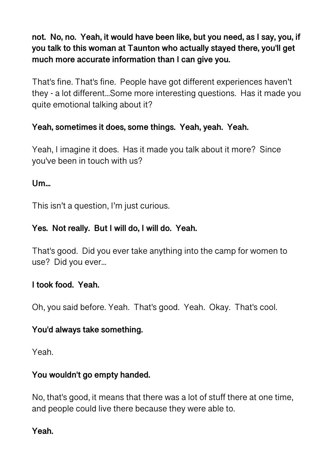**not. No, no. Yeah, it would have been like, but you need, as I say, you, if you talk to this woman at Taunton who actually stayed there, you'll get much more accurate information than I can give you.** 

That's fine. That's fine. People have got different experiences haven't they - a lot different...Some more interesting questions. Has it made you quite emotional talking about it?

## **Yeah, sometimes it does, some things. Yeah, yeah. Yeah.**

Yeah, I imagine it does. Has it made you talk about it more? Since you've been in touch with us?

## $Um$

This isn't a question, I'm just curious.

## **Yes. Not really. But I will do, I will do. Yeah.**

That's good. Did you ever take anything into the camp for women to use? Did you ever...

## **I took food. Yeah.**

Oh, you said before. Yeah. That's good. Yeah. Okay. That's cool.

## **You'd always take something.**

Yeah.

## **You wouldn't go empty handed.**

No, that's good, it means that there was a lot of stuff there at one time, and people could live there because they were able to.

#### **Yeah.**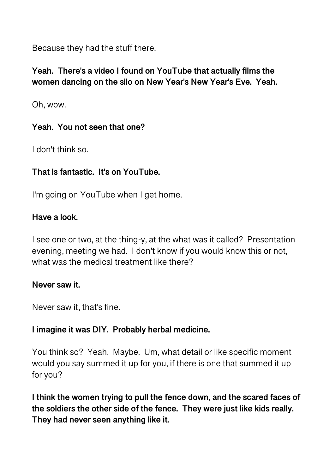Because they had the stuff there.

## **Yeah. There's a video I found on YouTube that actually films the women dancing on the silo on New Year's New Year's Eve. Yeah.**

Oh, wow.

## **Yeah. You not seen that one?**

I don't think so.

## **That is fantastic. It's on YouTube.**

I'm going on YouTube when I get home.

## **Have a look.**

I see one or two, at the thing-y, at the what was it called? Presentation evening, meeting we had. I don't know if you would know this or not, what was the medical treatment like there?

#### **Never saw it.**

Never saw it, that's fine.

## **I imagine it was DIY. Probably herbal medicine.**

You think so? Yeah. Maybe. Um, what detail or like specific moment would you say summed it up for you, if there is one that summed it up for you?

**I think the women trying to pull the fence down, and the scared faces of the soldiers the other side of the fence. They were just like kids really. They had never seen anything like it.**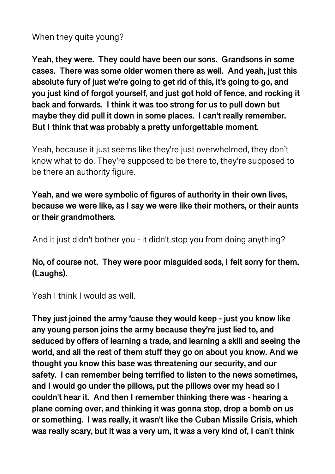When they quite young?

**Yeah, they were. They could have been our sons. Grandsons in some cases. There was some older women there as well. And yeah, just this absolute fury of just we're going to get rid of this, it's going to go, and you just kind of forgot yourself, and just got hold of fence, and rocking it back and forwards. I think it was too strong for us to pull down but maybe they did pull it down in some places. I can't really remember. But I think that was probably a pretty unforgettable moment.** 

Yeah, because it just seems like they're just overwhelmed, they don't know what to do. They're supposed to be there to, they're supposed to be there an authority figure.

**Yeah, and we were symbolic of figures of authority in their own lives, because we were like, as I say we were like their mothers, or their aunts or their grandmothers.** 

And it just didn't bother you - it didn't stop you from doing anything?

**No, of course not. They were poor misguided sods, I felt sorry for them. (Laughs).** 

Yeah I think I would as well.

**They just joined the army 'cause they would keep - just you know like any young person joins the army because they're just lied to, and seduced by offers of learning a trade, and learning a skill and seeing the world, and all the rest of them stuff they go on about you know. And we thought you know this base was threatening our security, and our safety. I can remember being terrified to listen to the news sometimes, and I would go under the pillows, put the pillows over my head so I couldn't hear it. And then I remember thinking there was - hearing a plane coming over, and thinking it was gonna stop, drop a bomb on us or something. I was really, it wasn't like the Cuban Missile Crisis, which was really scary, but it was a very um, it was a very kind of, I can't think**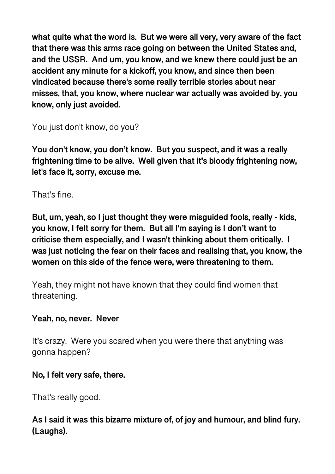**what quite what the word is. But we were all very, very aware of the fact that there was this arms race going on between the United States and, and the USSR. And um, you know, and we knew there could just be an accident any minute for a kickoff, you know, and since then been vindicated because there's some really terrible stories about near misses, that, you know, where nuclear war actually was avoided by, you know, only just avoided.** 

You just don't know, do you?

**You don't know, you don't know. But you suspect, and it was a really frightening time to be alive. Well given that it's bloody frightening now, let's face it, sorry, excuse me.** 

That's fine.

**But, um, yeah, so I just thought they were misguided fools, really - kids, you know, I felt sorry for them. But all I'm saying is I don't want to criticise them especially, and I wasn't thinking about them critically. I was just noticing the fear on their faces and realising that, you know, the women on this side of the fence were, were threatening to them.** 

Yeah, they might not have known that they could find women that threatening.

## **Yeah, no, never. Never**

It's crazy. Were you scared when you were there that anything was gonna happen?

## **No, I felt very safe, there.**

That's really good.

## **As I said it was this bizarre mixture of, of joy and humour, and blind fury. (Laughs).**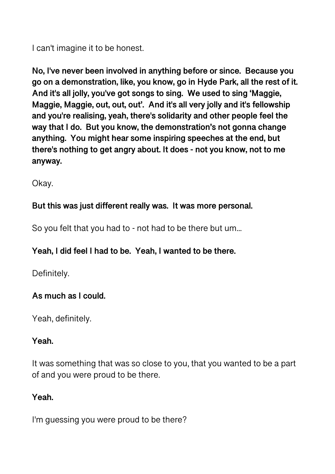I can't imagine it to be honest.

**No, I've never been involved in anything before or since. Because you go on a demonstration, like, you know, go in Hyde Park, all the rest of it. And it's all jolly, you've got songs to sing. We used to sing 'Maggie, Maggie, Maggie, out, out, out'. And it's all very jolly and it's fellowship and you're realising, yeah, there's solidarity and other people feel the way that I do. But you know, the demonstration's not gonna change anything. You might hear some inspiring speeches at the end, but there's nothing to get angry about. It does - not you know, not to me anyway.** 

Okay.

## **But this was just different really was. It was more personal.**

So you felt that you had to - not had to be there but um...

# **Yeah, I did feel I had to be. Yeah, I wanted to be there.**

Definitely.

# **As much as I could.**

Yeah, definitely.

## **Yeah.**

It was something that was so close to you, that you wanted to be a part of and you were proud to be there.

#### **Yeah.**

I'm guessing you were proud to be there?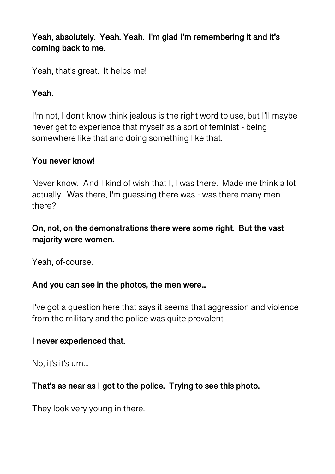**Yeah, absolutely. Yeah. Yeah. I'm glad I'm remembering it and it's coming back to me.** 

Yeah, that's great. It helps me!

#### **Yeah.**

I'm not, I don't know think jealous is the right word to use, but I'll maybe never get to experience that myself as a sort of feminist - being somewhere like that and doing something like that.

#### **You never know!**

Never know. And I kind of wish that I, I was there. Made me think a lot actually. Was there, I'm guessing there was - was there many men there?

## **On, not, on the demonstrations there were some right. But the vast majority were women.**

Yeah, of-course.

#### **And you can see in the photos, the men were...**

I've got a question here that says it seems that aggression and violence from the military and the police was quite prevalent

#### **I never experienced that.**

No, it's it's um...

## **That's as near as I got to the police. Trying to see this photo.**

They look very young in there.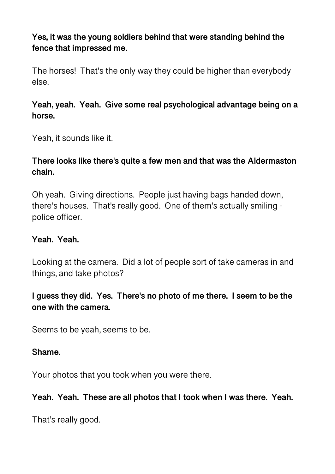## **Yes, it was the young soldiers behind that were standing behind the fence that impressed me.**

The horses! That's the only way they could be higher than everybody else.

## **Yeah, yeah. Yeah. Give some real psychological advantage being on a horse.**

Yeah, it sounds like it.

## **There looks like there's quite a few men and that was the Aldermaston chain.**

Oh yeah. Giving directions. People just having bags handed down, there's houses. That's really good. One of them's actually smiling police officer.

### **Yeah. Yeah.**

Looking at the camera. Did a lot of people sort of take cameras in and things, and take photos?

## **I guess they did. Yes. There's no photo of me there. I seem to be the one with the camera.**

Seems to be yeah, seems to be.

#### **Shame.**

Your photos that you took when you were there.

#### **Yeah. Yeah. These are all photos that I took when I was there. Yeah.**

That's really good.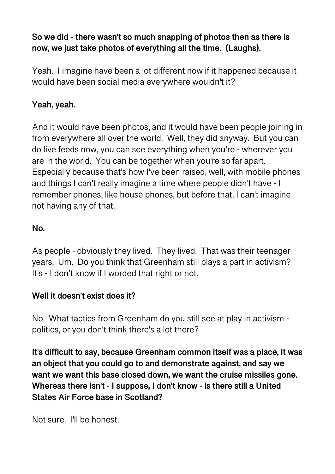# **So we did - there wasn't so much snapping of photos then as there is now, we just take photos of everything all the time. (Laughs).**

Yeah. I imagine have been a lot different now if it happened because it would have been social media everywhere wouldn't it?

## **Yeah, yeah.**

And it would have been photos, and it would have been people joining in from everywhere all over the world. Well, they did anyway. But you can do live feeds now, you can see everything when you're - wherever you are in the world. You can be together when you're so far apart. Especially because that's how I've been raised, well, with mobile phones and things I can't really imagine a time where people didn't have - I remember phones, like house phones, but before that, I can't imagine not having any of that.

## **No.**

As people - obviously they lived. They lived. That was their teenager years. Um. Do you think that Greenham still plays a part in activism? It's - I don't know if I worded that right or not.

## **Well it doesn't exist does it?**

No. What tactics from Greenham do you still see at play in activism politics, or you don't think there's a lot there?

**It's difficult to say, because Greenham common itself was a place, it was an object that you could go to and demonstrate against, and say we want we want this base closed down, we want the cruise missiles gone. Whereas there isn't - I suppose, I don't know - is there still a United States Air Force base in Scotland?** 

Not sure. I'll be honest.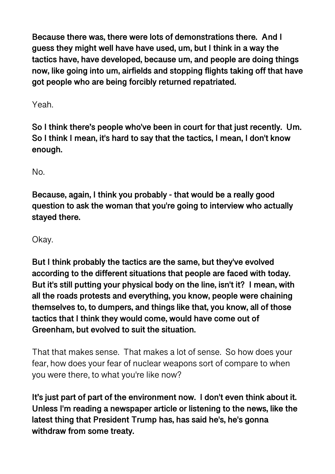**Because there was, there were lots of demonstrations there. And I guess they might well have have used, um, but I think in a way the tactics have, have developed, because um, and people are doing things now, like going into um, airfields and stopping flights taking off that have got people who are being forcibly returned repatriated.** 

Yeah.

**So I think there's people who've been in court for that just recently. Um. So I think I mean, it's hard to say that the tactics, I mean, I don't know enough.** 

No.

**Because, again, I think you probably - that would be a really good question to ask the woman that you're going to interview who actually stayed there.** 

Okay.

**But I think probably the tactics are the same, but they've evolved according to the different situations that people are faced with today. But it's still putting your physical body on the line, isn't it? I mean, with all the roads protests and everything, you know, people were chaining themselves to, to dumpers, and things like that, you know, all of those tactics that I think they would come, would have come out of Greenham, but evolved to suit the situation.** 

That that makes sense. That makes a lot of sense. So how does your fear, how does your fear of nuclear weapons sort of compare to when you were there, to what you're like now?

**It's just part of part of the environment now. I don't even think about it. Unless I'm reading a newspaper article or listening to the news, like the latest thing that President Trump has, has said he's, he's gonna withdraw from some treaty.**